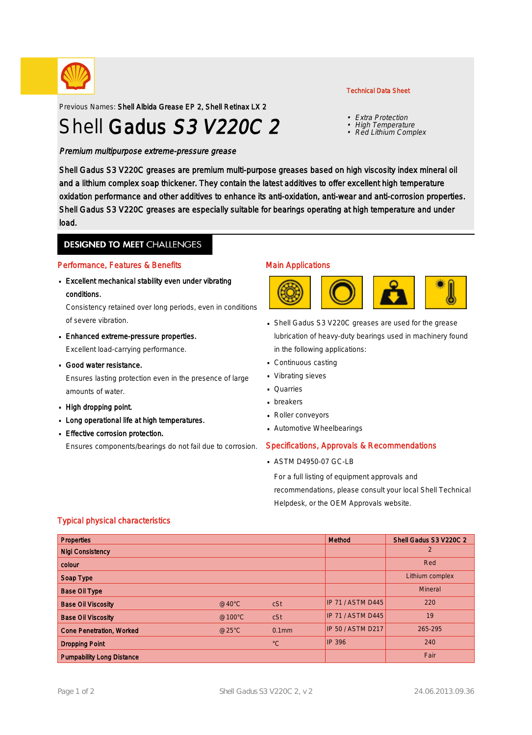

Previous Names: Shell Albida Grease EP 2, Shell Retinax LX 2

# Shell Gadus S3 V220C 2

Premium multipurpose extreme-pressure grease

#### Technical Data Sheet

- Extra Protection
- High Temperature
- Red Lithium Complex

Shell Gadus S3 V220C greases are premium multi-purpose greases based on high viscosity index mineral oil and a lithium complex soap thickener. They contain the latest additives to offer excellent high temperature oxidation performance and other additives to enhance its anti-oxidation, anti-wear and anti-corrosion properties. Shell Gadus S3 V220C greases are especially suitable for bearings operating at high temperature and under load.

### **DESIGNED TO MEET CHALLENGES**

#### Performance, Features & Benefits

**Excellent mechanical stability even under vibrating** conditions.

Consistency retained over long periods, even in conditions of severe vibration.

- Enhanced extreme-pressure properties. · Excellent load-carrying performance.
- Good water resistance. · Ensures lasting protection even in the presence of large amounts of water.
- High dropping point.
- **Long operational life at high temperatures.**
- **Effective corrosion protection.**

Ensures components/bearings do not fail due to corrosion.

### Main Applications



- Shell Gadus S3 V220C greases are used for the grease lubrication of heavy-duty bearings used in machinery found in the following applications:
- Continuous casting ·
- Vibrating sieves ·
- **Quarries**
- **breakers**
- Roller conveyors ·
- Automotive Wheelbearings ·

#### Specifications, Approvals & Recommendations

ASTM D4950-07 GC-LB ·

For a full listing of equipment approvals and recommendations, please consult your local Shell Technical Helpdesk, or the OEM Approvals website.

#### Typical physical characteristics

| <b>Properties</b>                |                 |             | Method                   | Shell Gadus S3 V220C 2 |
|----------------------------------|-----------------|-------------|--------------------------|------------------------|
| <b>Nigi Consistency</b>          |                 |             |                          | 2                      |
| colour                           |                 |             |                          | Red                    |
| Soap Type                        |                 |             |                          | Lithium complex        |
| <b>Base Oil Type</b>             |                 |             |                          | Mineral                |
| <b>Base Oil Viscosity</b>        | $@40^{\circ}$ C | cSt         | <b>IP 71 / ASTM D445</b> | 220                    |
| <b>Base Oil Viscosity</b>        | @100°C          | cSt         | <b>IP 71 / ASTM D445</b> | 19                     |
| <b>Cone Penetration, Worked</b>  | @25°C           | $0.1$ mm    | <b>IP 50 / ASTM D217</b> | 265-295                |
| <b>Dropping Point</b>            |                 | $^{\circ}C$ | <b>IP 396</b>            | 240                    |
| <b>Pumpability Long Distance</b> |                 |             |                          | Fair                   |